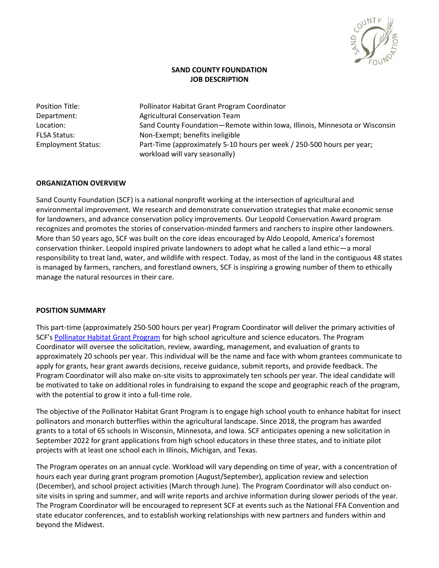

# **SAND COUNTY FOUNDATION JOB DESCRIPTION**

Position Title: Pollinator Habitat Grant Program Coordinator Department: Agricultural Conservation Team Location: Sand County Foundation—Remote within Iowa, Illinois, Minnesota or Wisconsin FLSA Status: Non-Exempt; benefits ineligible Employment Status: Part-Time (approximately 5-10 hours per week / 250-500 hours per year; workload will vary seasonally)

# **ORGANIZATION OVERVIEW**

Sand County Foundation (SCF) is a national nonprofit working at the intersection of agricultural and environmental improvement. We research and demonstrate conservation strategies that make economic sense for landowners, and advance conservation policy improvements. Our Leopold Conservation Award program recognizes and promotes the stories of conservation-minded farmers and ranchers to inspire other landowners. More than 50 years ago, SCF was built on the core ideas encouraged by Aldo Leopold, America's foremost conservation thinker. Leopold inspired private landowners to adopt what he called a land ethic—a moral responsibility to treat land, water, and wildlife with respect. Today, as most of the land in the contiguous 48 states is managed by farmers, ranchers, and forestland owners, SCF is inspiring a growing number of them to ethically manage the natural resources in their care.

#### **POSITION SUMMARY**

This part-time (approximately 250-500 hours per year) Program Coordinator will deliver the primary activities of SCF's [Pollinator Habitat Grant Program](http://www.sandcountyfoundation.org/schoolgrants) for high school agriculture and science educators. The Program Coordinator will oversee the solicitation, review, awarding, management, and evaluation of grants to approximately 20 schools per year. This individual will be the name and face with whom grantees communicate to apply for grants, hear grant awards decisions, receive guidance, submit reports, and provide feedback. The Program Coordinator will also make on-site visits to approximately ten schools per year. The ideal candidate will be motivated to take on additional roles in fundraising to expand the scope and geographic reach of the program, with the potential to grow it into a full-time role.

The objective of the Pollinator Habitat Grant Program is to engage high school youth to enhance habitat for insect pollinators and monarch butterflies within the agricultural landscape. Since 2018, the program has awarded grants to a total of 65 schools in Wisconsin, Minnesota, and Iowa. SCF anticipates opening a new solicitation in September 2022 for grant applications from high school educators in these three states, and to initiate pilot projects with at least one school each in Illinois, Michigan, and Texas.

The Program operates on an annual cycle. Workload will vary depending on time of year, with a concentration of hours each year during grant program promotion (August/September), application review and selection (December), and school project activities (March through June). The Program Coordinator will also conduct onsite visits in spring and summer, and will write reports and archive information during slower periods of the year. The Program Coordinator will be encouraged to represent SCF at events such as the National FFA Convention and state educator conferences, and to establish working relationships with new partners and funders within and beyond the Midwest.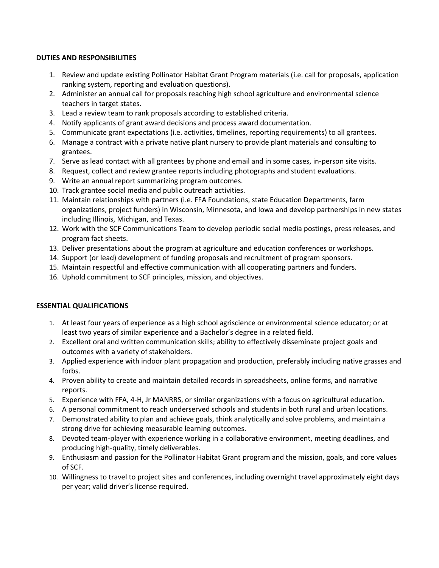## **DUTIES AND RESPONSIBILITIES**

- 1. Review and update existing Pollinator Habitat Grant Program materials (i.e. call for proposals, application ranking system, reporting and evaluation questions).
- 2. Administer an annual call for proposals reaching high school agriculture and environmental science teachers in target states.
- 3. Lead a review team to rank proposals according to established criteria.
- 4. Notify applicants of grant award decisions and process award documentation.
- 5. Communicate grant expectations (i.e. activities, timelines, reporting requirements) to all grantees.
- 6. Manage a contract with a private native plant nursery to provide plant materials and consulting to grantees.
- 7. Serve as lead contact with all grantees by phone and email and in some cases, in-person site visits.
- 8. Request, collect and review grantee reports including photographs and student evaluations.
- 9. Write an annual report summarizing program outcomes.
- 10. Track grantee social media and public outreach activities.
- 11. Maintain relationships with partners (i.e. FFA Foundations, state Education Departments, farm organizations, project funders) in Wisconsin, Minnesota, and Iowa and develop partnerships in new states including Illinois, Michigan, and Texas.
- 12. Work with the SCF Communications Team to develop periodic social media postings, press releases, and program fact sheets.
- 13. Deliver presentations about the program at agriculture and education conferences or workshops.
- 14. Support (or lead) development of funding proposals and recruitment of program sponsors.
- 15. Maintain respectful and effective communication with all cooperating partners and funders.
- 16. Uphold commitment to SCF principles, mission, and objectives.

# **ESSENTIAL QUALIFICATIONS**

- 1. At least four years of experience as a high school agriscience or environmental science educator; or at least two years of similar experience and a Bachelor's degree in a related field.
- 2. Excellent oral and written communication skills; ability to effectively disseminate project goals and outcomes with a variety of stakeholders.
- 3. Applied experience with indoor plant propagation and production, preferably including native grasses and forbs.
- 4. Proven ability to create and maintain detailed records in spreadsheets, online forms, and narrative reports.
- 5. Experience with FFA, 4-H, Jr MANRRS, or similar organizations with a focus on agricultural education.
- 6. A personal commitment to reach underserved schools and students in both rural and urban locations.
- 7. Demonstrated ability to plan and achieve goals, think analytically and solve problems, and maintain a strong drive for achieving measurable learning outcomes.
- 8. Devoted team-player with experience working in a collaborative environment, meeting deadlines, and producing high-quality, timely deliverables.
- 9. Enthusiasm and passion for the Pollinator Habitat Grant program and the mission, goals, and core values of SCF.
- 10. Willingness to travel to project sites and conferences, including overnight travel approximately eight days per year; valid driver's license required.